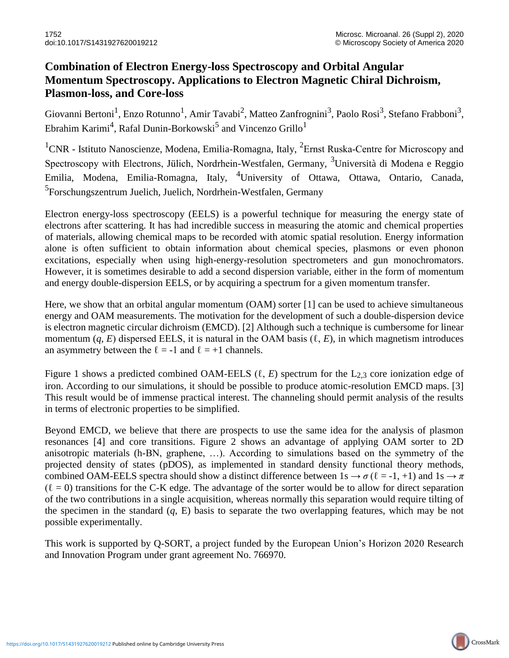## **Combination of Electron Energy-loss Spectroscopy and Orbital Angular Momentum Spectroscopy. Applications to Electron Magnetic Chiral Dichroism, Plasmon-loss, and Core-loss**

Giovanni Bertoni<sup>1</sup>, Enzo Rotunno<sup>1</sup>, Amir Tavabi<sup>2</sup>, Matteo Zanfrognini<sup>3</sup>, Paolo Rosi<sup>3</sup>, Stefano Frabboni<sup>3</sup>, Ebrahim Karimi<sup>4</sup>, Rafal Dunin-Borkowski<sup>5</sup> and Vincenzo Grillo<sup>1</sup>

<sup>1</sup>CNR - Istituto Nanoscienze, Modena, Emilia-Romagna, Italy, <sup>2</sup>Ernst Ruska-Centre for Microscopy and Spectroscopy with Electrons, Jülich, Nordrhein-Westfalen, Germany, <sup>3</sup>Università di Modena e Reggio Emilia, Modena, Emilia-Romagna, Italy, 4University of Ottawa, Ottawa, Ontario, Canada, <sup>5</sup>Forschungszentrum Juelich, Juelich, Nordrhein-Westfalen, Germany

Electron energy-loss spectroscopy (EELS) is a powerful technique for measuring the energy state of electrons after scattering. It has had incredible success in measuring the atomic and chemical properties of materials, allowing chemical maps to be recorded with atomic spatial resolution. Energy information alone is often sufficient to obtain information about chemical species, plasmons or even phonon excitations, especially when using high-energy-resolution spectrometers and gun monochromators. However, it is sometimes desirable to add a second dispersion variable, either in the form of momentum and energy double-dispersion EELS, or by acquiring a spectrum for a given momentum transfer.

Here, we show that an orbital angular momentum (OAM) sorter [1] can be used to achieve simultaneous energy and OAM measurements. The motivation for the development of such a double-dispersion device is electron magnetic circular dichroism (EMCD). [2] Although such a technique is cumbersome for linear momentum  $(q, E)$  dispersed EELS, it is natural in the OAM basis  $(\ell, E)$ , in which magnetism introduces an asymmetry between the  $\ell = -1$  and  $\ell = +1$  channels.

Figure 1 shows a predicted combined OAM-EELS (ℓ, *E*) spectrum for the L2,3 core ionization edge of iron. According to our simulations, it should be possible to produce atomic-resolution EMCD maps. [3] This result would be of immense practical interest. The channeling should permit analysis of the results in terms of electronic properties to be simplified.

Beyond EMCD, we believe that there are prospects to use the same idea for the analysis of plasmon resonances [4] and core transitions. Figure 2 shows an advantage of applying OAM sorter to 2D anisotropic materials (h-BN, graphene, …). According to simulations based on the symmetry of the projected density of states (pDOS), as implemented in standard density functional theory methods, combined OAM-EELS spectra should show a distinct difference between  $1s \rightarrow \sigma (\ell = -1, +1)$  and  $1s \rightarrow \pi$  $(\ell = 0)$  transitions for the C-K edge. The advantage of the sorter would be to allow for direct separation of the two contributions in a single acquisition, whereas normally this separation would require tilting of the specimen in the standard (*q*, E) basis to separate the two overlapping features, which may be not possible experimentally.

This work is supported by Q-SORT, a project funded by the European Union's Horizon 2020 Research and Innovation Program under grant agreement No. 766970.